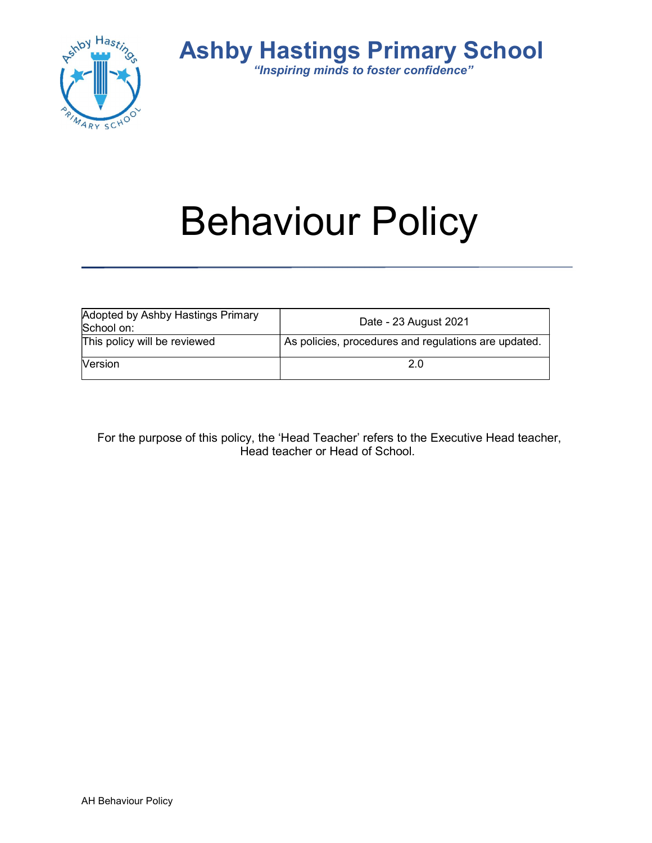

Ashby Hastings Primary School "Inspiring minds to foster confidence"

# Behaviour Policy

| Adopted by Ashby Hastings Primary<br>School on: | Date - 23 August 2021                                |  |
|-------------------------------------------------|------------------------------------------------------|--|
| This policy will be reviewed                    | As policies, procedures and regulations are updated. |  |
| <b>Version</b>                                  |                                                      |  |

For the purpose of this policy, the 'Head Teacher' refers to the Executive Head teacher, Head teacher or Head of School.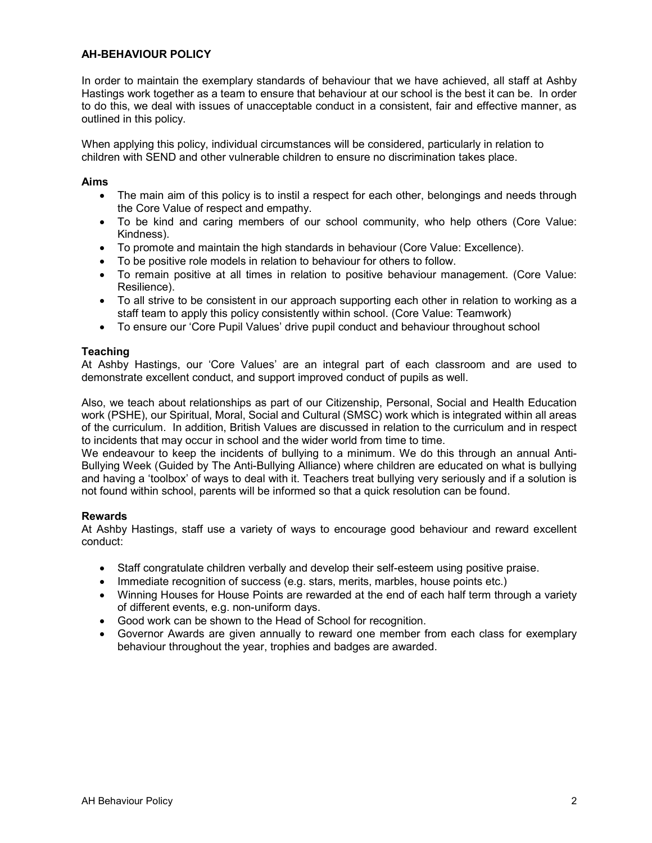# AH-BEHAVIOUR POLICY

In order to maintain the exemplary standards of behaviour that we have achieved, all staff at Ashby Hastings work together as a team to ensure that behaviour at our school is the best it can be. In order to do this, we deal with issues of unacceptable conduct in a consistent, fair and effective manner, as outlined in this policy.

When applying this policy, individual circumstances will be considered, particularly in relation to children with SEND and other vulnerable children to ensure no discrimination takes place.

#### Aims

- The main aim of this policy is to instil a respect for each other, belongings and needs through the Core Value of respect and empathy.
- To be kind and caring members of our school community, who help others (Core Value: Kindness).
- To promote and maintain the high standards in behaviour (Core Value: Excellence).
- To be positive role models in relation to behaviour for others to follow.
- To remain positive at all times in relation to positive behaviour management. (Core Value: Resilience).
- To all strive to be consistent in our approach supporting each other in relation to working as a staff team to apply this policy consistently within school. (Core Value: Teamwork)
- To ensure our 'Core Pupil Values' drive pupil conduct and behaviour throughout school

# **Teaching**

At Ashby Hastings, our 'Core Values' are an integral part of each classroom and are used to demonstrate excellent conduct, and support improved conduct of pupils as well.

Also, we teach about relationships as part of our Citizenship, Personal, Social and Health Education work (PSHE), our Spiritual, Moral, Social and Cultural (SMSC) work which is integrated within all areas of the curriculum. In addition, British Values are discussed in relation to the curriculum and in respect to incidents that may occur in school and the wider world from time to time.

We endeavour to keep the incidents of bullying to a minimum. We do this through an annual Anti-Bullying Week (Guided by The Anti-Bullying Alliance) where children are educated on what is bullying and having a 'toolbox' of ways to deal with it. Teachers treat bullying very seriously and if a solution is not found within school, parents will be informed so that a quick resolution can be found.

#### Rewards

At Ashby Hastings, staff use a variety of ways to encourage good behaviour and reward excellent conduct:

- Staff congratulate children verbally and develop their self-esteem using positive praise.
- Immediate recognition of success (e.g. stars, merits, marbles, house points etc.)
- Winning Houses for House Points are rewarded at the end of each half term through a variety of different events, e.g. non-uniform days.
- Good work can be shown to the Head of School for recognition.
- Governor Awards are given annually to reward one member from each class for exemplary behaviour throughout the year, trophies and badges are awarded.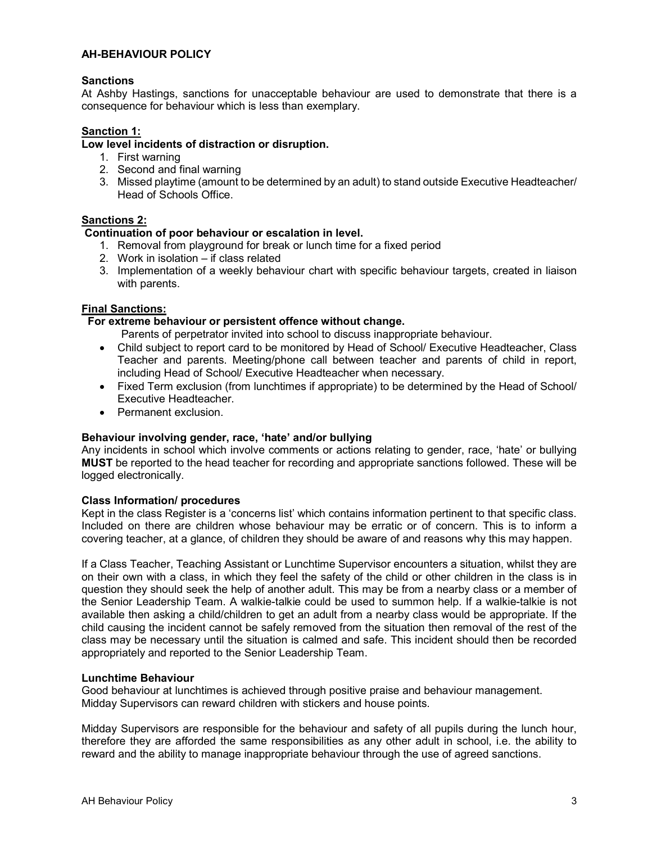# AH-BEHAVIOUR POLICY

# **Sanctions**

At Ashby Hastings, sanctions for unacceptable behaviour are used to demonstrate that there is a consequence for behaviour which is less than exemplary.

# Sanction 1:

# Low level incidents of distraction or disruption.

- 1. First warning
- 2. Second and final warning
- 3. Missed playtime (amount to be determined by an adult) to stand outside Executive Headteacher/ Head of Schools Office.

# Sanctions 2:

#### Continuation of poor behaviour or escalation in level.

- 1. Removal from playground for break or lunch time for a fixed period
- 2. Work in isolation if class related
- 3. Implementation of a weekly behaviour chart with specific behaviour targets, created in liaison with parents.

# Final Sanctions:

# For extreme behaviour or persistent offence without change.

Parents of perpetrator invited into school to discuss inappropriate behaviour.

- Child subject to report card to be monitored by Head of School/ Executive Headteacher, Class Teacher and parents. Meeting/phone call between teacher and parents of child in report, including Head of School/ Executive Headteacher when necessary.
- Fixed Term exclusion (from lunchtimes if appropriate) to be determined by the Head of School/ Executive Headteacher.
- **•** Permanent exclusion

#### Behaviour involving gender, race, 'hate' and/or bullying

Any incidents in school which involve comments or actions relating to gender, race, 'hate' or bullying MUST be reported to the head teacher for recording and appropriate sanctions followed. These will be logged electronically.

#### Class Information/ procedures

Kept in the class Register is a 'concerns list' which contains information pertinent to that specific class. Included on there are children whose behaviour may be erratic or of concern. This is to inform a covering teacher, at a glance, of children they should be aware of and reasons why this may happen.

If a Class Teacher, Teaching Assistant or Lunchtime Supervisor encounters a situation, whilst they are on their own with a class, in which they feel the safety of the child or other children in the class is in question they should seek the help of another adult. This may be from a nearby class or a member of the Senior Leadership Team. A walkie-talkie could be used to summon help. If a walkie-talkie is not available then asking a child/children to get an adult from a nearby class would be appropriate. If the child causing the incident cannot be safely removed from the situation then removal of the rest of the class may be necessary until the situation is calmed and safe. This incident should then be recorded appropriately and reported to the Senior Leadership Team.

#### Lunchtime Behaviour

Good behaviour at lunchtimes is achieved through positive praise and behaviour management. Midday Supervisors can reward children with stickers and house points.

Midday Supervisors are responsible for the behaviour and safety of all pupils during the lunch hour, therefore they are afforded the same responsibilities as any other adult in school, i.e. the ability to reward and the ability to manage inappropriate behaviour through the use of agreed sanctions.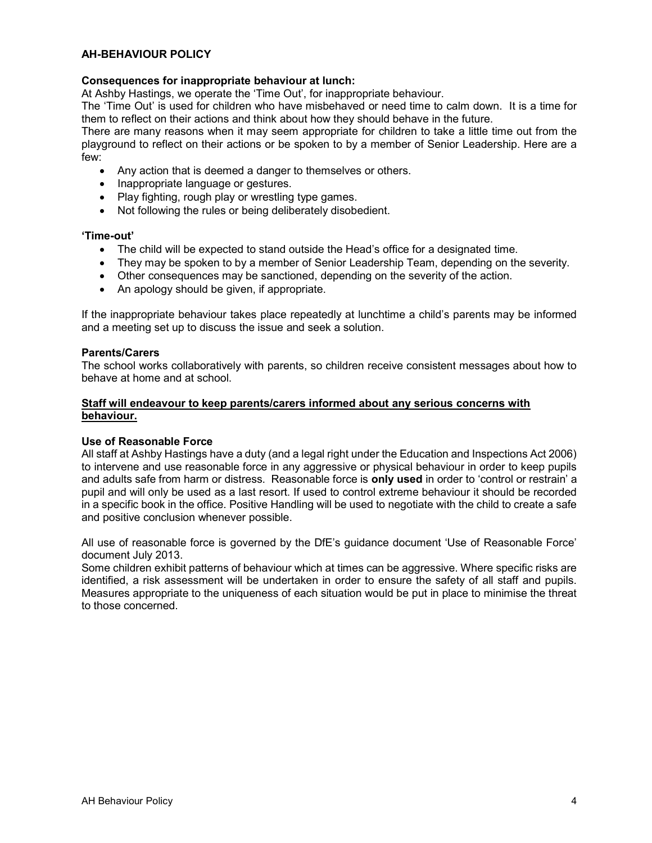# AH-BEHAVIOUR POLICY

# Consequences for inappropriate behaviour at lunch:

At Ashby Hastings, we operate the 'Time Out', for inappropriate behaviour.

The 'Time Out' is used for children who have misbehaved or need time to calm down. It is a time for them to reflect on their actions and think about how they should behave in the future.

There are many reasons when it may seem appropriate for children to take a little time out from the playground to reflect on their actions or be spoken to by a member of Senior Leadership. Here are a few:

- Any action that is deemed a danger to themselves or others.
- Inappropriate language or gestures.
- Play fighting, rough play or wrestling type games.
- Not following the rules or being deliberately disobedient.

#### 'Time-out'

- The child will be expected to stand outside the Head's office for a designated time.
- They may be spoken to by a member of Senior Leadership Team, depending on the severity.
- Other consequences may be sanctioned, depending on the severity of the action.
- An apology should be given, if appropriate.

If the inappropriate behaviour takes place repeatedly at lunchtime a child's parents may be informed and a meeting set up to discuss the issue and seek a solution.

#### Parents/Carers

The school works collaboratively with parents, so children receive consistent messages about how to behave at home and at school.

# Staff will endeavour to keep parents/carers informed about any serious concerns with behaviour.

#### Use of Reasonable Force

All staff at Ashby Hastings have a duty (and a legal right under the Education and Inspections Act 2006) to intervene and use reasonable force in any aggressive or physical behaviour in order to keep pupils and adults safe from harm or distress. Reasonable force is only used in order to 'control or restrain' a pupil and will only be used as a last resort. If used to control extreme behaviour it should be recorded in a specific book in the office. Positive Handling will be used to negotiate with the child to create a safe and positive conclusion whenever possible.

All use of reasonable force is governed by the DfE's guidance document 'Use of Reasonable Force' document July 2013.

Some children exhibit patterns of behaviour which at times can be aggressive. Where specific risks are identified, a risk assessment will be undertaken in order to ensure the safety of all staff and pupils. Measures appropriate to the uniqueness of each situation would be put in place to minimise the threat to those concerned.